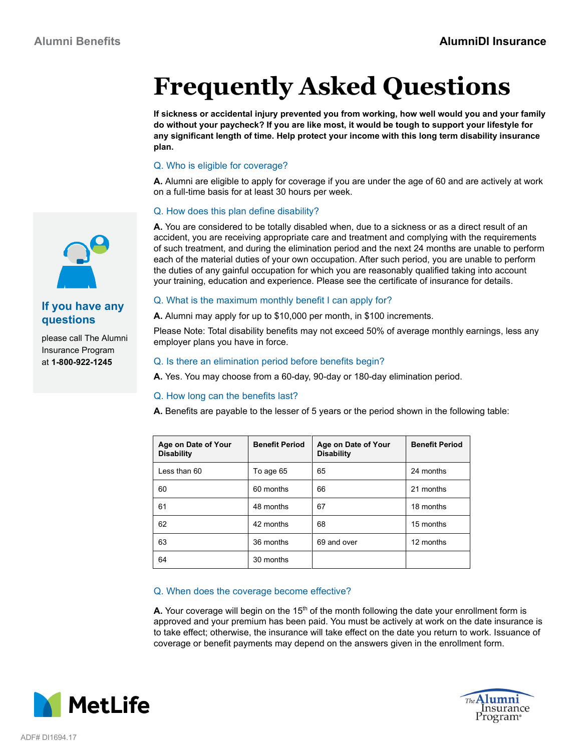# **Frequently Asked Questions**

**If sickness or accidental injury prevented you from working, how well would you and your family do without your paycheck? If you are like most, it would be tough to support your lifestyle for any significant length of time. Help protect your income with this long term disability insurance plan.**

# Q. Who is eligible for coverage?

**A.** Alumni are eligible to apply for coverage if you are under the age of 60 and are actively at work on a full-time basis for at least 30 hours per week.

## Q. How does this plan define disability?

**A.** You are considered to be totally disabled when, due to a sickness or as a direct result of an accident, you are receiving appropriate care and treatment and complying with the requirements of such treatment, and during the elimination period and the next 24 months are unable to perform each of the material duties of your own occupation. After such period, you are unable to perform the duties of any gainful occupation for which you are reasonably qualified taking into account your training, education and experience. Please see the certificate of insurance for details.

# Q. What is the maximum monthly benefit I can apply for?

**A.** Alumni may apply for up to \$10,000 per month, in \$100 increments.

Please Note: Total disability benefits may not exceed 50% of average monthly earnings, less any employer plans you have in force.

#### Q. Is there an elimination period before benefits begin?

**A.** Yes. You may choose from a 60-day, 90-day or 180-day elimination period.

### Q. How long can the benefits last?

**A.** Benefits are payable to the lesser of 5 years or the period shown in the following table:

| Age on Date of Your<br><b>Disability</b> | <b>Benefit Period</b> | Age on Date of Your<br><b>Disability</b> | <b>Benefit Period</b> |
|------------------------------------------|-----------------------|------------------------------------------|-----------------------|
| Less than 60                             | To age 65             | 65                                       | 24 months             |
| 60                                       | 60 months             | 66                                       | 21 months             |
| 61                                       | 48 months             | 67                                       | 18 months             |
| 62                                       | 42 months             | 68                                       | 15 months             |
| 63                                       | 36 months             | 69 and over                              | 12 months             |
| 64                                       | 30 months             |                                          |                       |

### Q. When does the coverage become effective?

**A.** Your coverage will begin on the 15<sup>th</sup> of the month following the date your enrollment form is approved and your premium has been paid. You must be actively at work on the date insurance is to take effect; otherwise, the insurance will take effect on the date you return to work. Issuance of coverage or benefit payments may depend on the answers given in the enrollment form.







# **If you have any questions**

please call The Alumni Insurance Program at **1-800-922-1245**